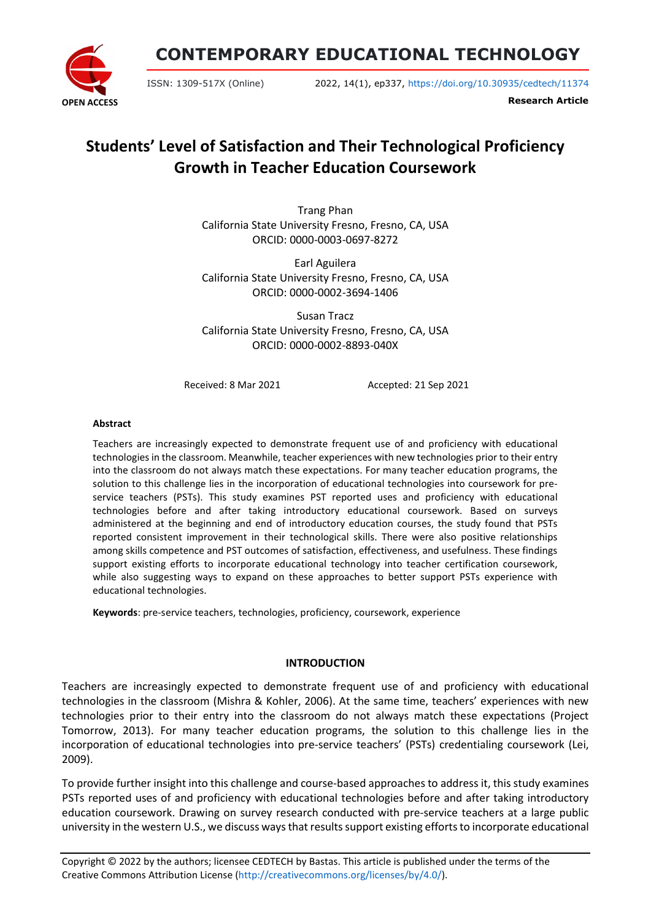

**CONTEMPORARY EDUCATIONAL TECHNOLOGY**

ISSN: 1309-517X (Online) 2022, 14(1), ep337, <https://doi.org/10.30935/cedtech/11374>

**Research Article**

# **Students' Level of Satisfaction and Their Technological Proficiency Growth in Teacher Education Coursework**

Trang Phan California State University Fresno, Fresno, CA, USA ORCID: 0000-0003-0697-8272

Earl Aguilera California State University Fresno, Fresno, CA, USA ORCID: 0000-0002-3694-1406

Susan Tracz California State University Fresno, Fresno, CA, USA ORCID: 0000-0002-8893-040X

Received: 8 Mar 2021 <br>
Accepted: 21 Sep 2021

#### **Abstract**

Teachers are increasingly expected to demonstrate frequent use of and proficiency with educational technologies in the classroom. Meanwhile, teacher experiences with new technologies prior to their entry into the classroom do not always match these expectations. For many teacher education programs, the solution to this challenge lies in the incorporation of educational technologies into coursework for preservice teachers (PSTs). This study examines PST reported uses and proficiency with educational technologies before and after taking introductory educational coursework. Based on surveys administered at the beginning and end of introductory education courses, the study found that PSTs reported consistent improvement in their technological skills. There were also positive relationships among skills competence and PST outcomes of satisfaction, effectiveness, and usefulness. These findings support existing efforts to incorporate educational technology into teacher certification coursework, while also suggesting ways to expand on these approaches to better support PSTs experience with educational technologies.

**Keywords**: pre-service teachers, technologies, proficiency, coursework, experience

## **INTRODUCTION**

Teachers are increasingly expected to demonstrate frequent use of and proficiency with educational technologies in the classroom (Mishra & Kohler, 2006). At the same time, teachers' experiences with new technologies prior to their entry into the classroom do not always match these expectations (Project Tomorrow, 2013). For many teacher education programs, the solution to this challenge lies in the incorporation of educational technologies into pre-service teachers' (PSTs) credentialing coursework (Lei, 2009).

To provide further insight into this challenge and course-based approaches to address it, this study examines PSTs reported uses of and proficiency with educational technologies before and after taking introductory education coursework. Drawing on survey research conducted with pre-service teachers at a large public university in the western U.S., we discuss waysthat resultssupport existing effortsto incorporate educational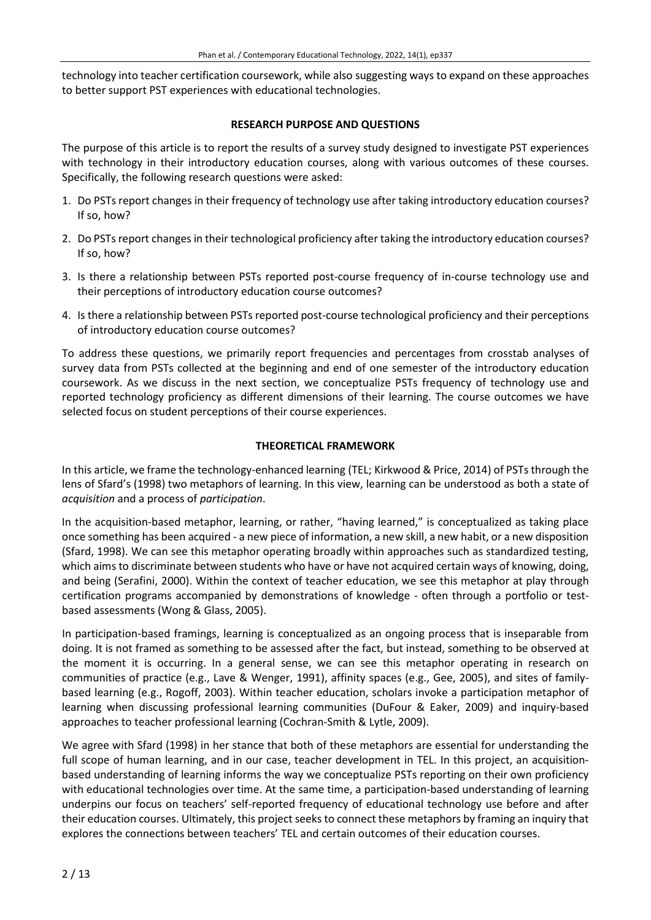technology into teacher certification coursework, while also suggesting ways to expand on these approaches to better support PST experiences with educational technologies.

#### **RESEARCH PURPOSE AND QUESTIONS**

The purpose of this article is to report the results of a survey study designed to investigate PST experiences with technology in their introductory education courses, along with various outcomes of these courses. Specifically, the following research questions were asked:

- 1. Do PSTs report changes in their frequency of technology use after taking introductory education courses? If so, how?
- 2. Do PSTs report changes in their technological proficiency after taking the introductory education courses? If so, how?
- 3. Is there a relationship between PSTs reported post-course frequency of in-course technology use and their perceptions of introductory education course outcomes?
- 4. Is there a relationship between PSTsreported post-course technological proficiency and their perceptions of introductory education course outcomes?

To address these questions, we primarily report frequencies and percentages from crosstab analyses of survey data from PSTs collected at the beginning and end of one semester of the introductory education coursework. As we discuss in the next section, we conceptualize PSTs frequency of technology use and reported technology proficiency as different dimensions of their learning. The course outcomes we have selected focus on student perceptions of their course experiences.

## **THEORETICAL FRAMEWORK**

In this article, we frame the technology-enhanced learning (TEL; Kirkwood & Price, 2014) of PSTs through the lens of Sfard's (1998) two metaphors of learning. In this view, learning can be understood as both a state of *acquisition* and a process of *participation*.

In the acquisition-based metaphor, learning, or rather, "having learned," is conceptualized as taking place once something has been acquired - a new piece of information, a new skill, a new habit, or a new disposition (Sfard, 1998). We can see this metaphor operating broadly within approaches such as standardized testing, which aims to discriminate between students who have or have not acquired certain ways of knowing, doing, and being (Serafini, 2000). Within the context of teacher education, we see this metaphor at play through certification programs accompanied by demonstrations of knowledge - often through a portfolio or testbased assessments (Wong & Glass, 2005).

In participation-based framings, learning is conceptualized as an ongoing process that is inseparable from doing. It is not framed as something to be assessed after the fact, but instead, something to be observed at the moment it is occurring. In a general sense, we can see this metaphor operating in research on communities of practice (e.g., Lave & Wenger, 1991), affinity spaces (e.g., Gee, 2005), and sites of familybased learning (e.g., Rogoff, 2003). Within teacher education, scholars invoke a participation metaphor of learning when discussing professional learning communities (DuFour & Eaker, 2009) and inquiry-based approaches to teacher professional learning (Cochran-Smith & Lytle, 2009).

We agree with Sfard (1998) in her stance that both of these metaphors are essential for understanding the full scope of human learning, and in our case, teacher development in TEL. In this project, an acquisitionbased understanding of learning informs the way we conceptualize PSTs reporting on their own proficiency with educational technologies over time. At the same time, a participation-based understanding of learning underpins our focus on teachers' self-reported frequency of educational technology use before and after their education courses. Ultimately, this project seeks to connect these metaphors by framing an inquiry that explores the connections between teachers' TEL and certain outcomes of their education courses.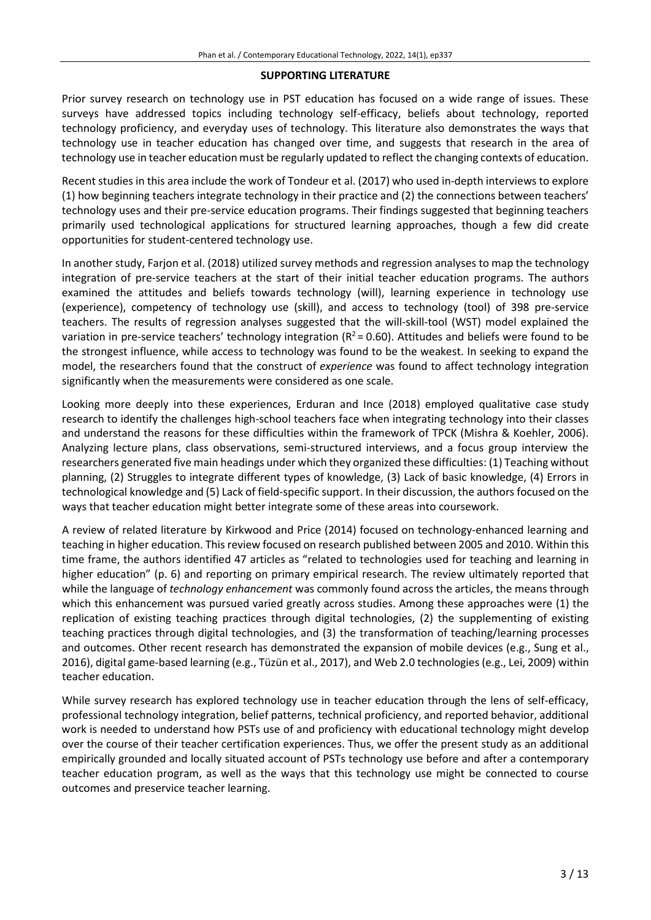#### **SUPPORTING LITERATURE**

Prior survey research on technology use in PST education has focused on a wide range of issues. These surveys have addressed topics including technology self-efficacy, beliefs about technology, reported technology proficiency, and everyday uses of technology. This literature also demonstrates the ways that technology use in teacher education has changed over time, and suggests that research in the area of technology use in teacher education must be regularly updated to reflect the changing contexts of education.

Recent studies in this area include the work of Tondeur et al. (2017) who used in-depth interviews to explore (1) how beginning teachers integrate technology in their practice and (2) the connections between teachers' technology uses and their pre-service education programs. Their findings suggested that beginning teachers primarily used technological applications for structured learning approaches, though a few did create opportunities for student-centered technology use.

In another study, Farjon et al. (2018) utilized survey methods and regression analyses to map the technology integration of pre-service teachers at the start of their initial teacher education programs. The authors examined the attitudes and beliefs towards technology (will), learning experience in technology use (experience), competency of technology use (skill), and access to technology (tool) of 398 pre-service teachers. The results of regression analyses suggested that the will-skill-tool (WST) model explained the variation in pre-service teachers' technology integration ( $R^2$  = 0.60). Attitudes and beliefs were found to be the strongest influence, while access to technology was found to be the weakest. In seeking to expand the model, the researchers found that the construct of *experience* was found to affect technology integration significantly when the measurements were considered as one scale.

Looking more deeply into these experiences, Erduran and Ince (2018) employed qualitative case study research to identify the challenges high-school teachers face when integrating technology into their classes and understand the reasons for these difficulties within the framework of TPCK (Mishra & Koehler, 2006). Analyzing lecture plans, class observations, semi-structured interviews, and a focus group interview the researchers generated five main headings under which they organized these difficulties: (1) Teaching without planning, (2) Struggles to integrate different types of knowledge, (3) Lack of basic knowledge, (4) Errors in technological knowledge and (5) Lack of field-specific support. In their discussion, the authors focused on the ways that teacher education might better integrate some of these areas into coursework.

A review of related literature by Kirkwood and Price (2014) focused on technology-enhanced learning and teaching in higher education. This review focused on research published between 2005 and 2010. Within this time frame, the authors identified 47 articles as "related to technologies used for teaching and learning in higher education" (p. 6) and reporting on primary empirical research. The review ultimately reported that while the language of *technology enhancement* was commonly found across the articles, the means through which this enhancement was pursued varied greatly across studies. Among these approaches were (1) the replication of existing teaching practices through digital technologies, (2) the supplementing of existing teaching practices through digital technologies, and (3) the transformation of teaching/learning processes and outcomes. Other recent research has demonstrated the expansion of mobile devices (e.g., Sung et al., 2016), digital game-based learning (e.g., Tüzün et al., 2017), and Web 2.0 technologies (e.g., Lei, 2009) within teacher education.

While survey research has explored technology use in teacher education through the lens of self-efficacy, professional technology integration, belief patterns, technical proficiency, and reported behavior, additional work is needed to understand how PSTs use of and proficiency with educational technology might develop over the course of their teacher certification experiences. Thus, we offer the present study as an additional empirically grounded and locally situated account of PSTs technology use before and after a contemporary teacher education program, as well as the ways that this technology use might be connected to course outcomes and preservice teacher learning.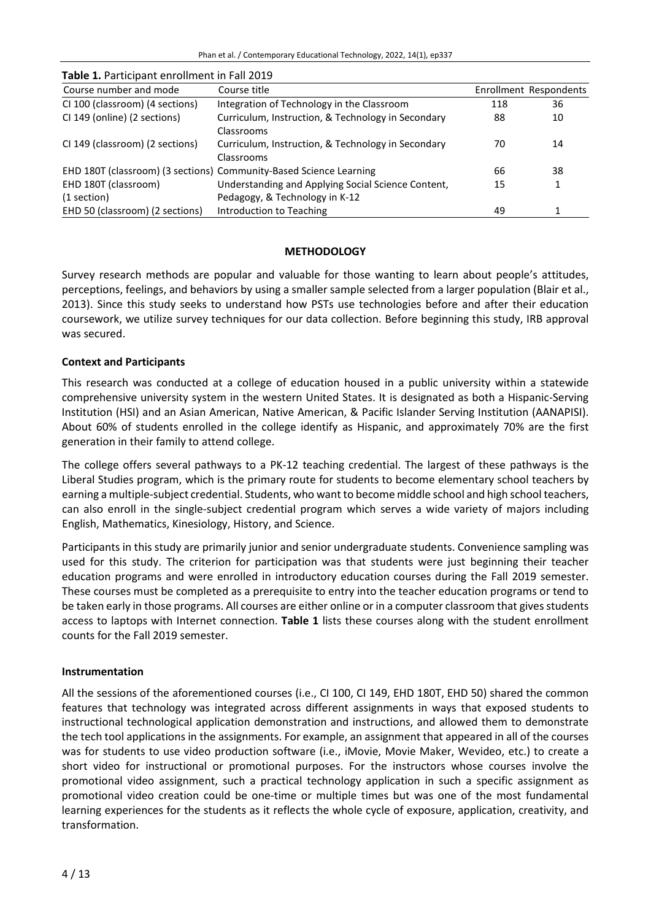| Course number and mode          | Course title                                                       |     | Enrollment Respondents |
|---------------------------------|--------------------------------------------------------------------|-----|------------------------|
| CI 100 (classroom) (4 sections) | Integration of Technology in the Classroom                         | 118 | 36                     |
| CI 149 (online) (2 sections)    | Curriculum, Instruction, & Technology in Secondary                 | 88  | 10                     |
|                                 | Classrooms                                                         |     |                        |
| CI 149 (classroom) (2 sections) | Curriculum, Instruction, & Technology in Secondary                 | 70  | 14                     |
|                                 | Classrooms                                                         |     |                        |
|                                 | EHD 180T (classroom) (3 sections) Community-Based Science Learning | 66  | 38                     |
| EHD 180T (classroom)            | Understanding and Applying Social Science Content,                 | 15  |                        |
| (1 section)                     | Pedagogy, & Technology in K-12                                     |     |                        |
| EHD 50 (classroom) (2 sections) | Introduction to Teaching                                           | 49  |                        |

# **Table 1.** Participant enrollment in Fall 2019

## **METHODOLOGY**

Survey research methods are popular and valuable for those wanting to learn about people's attitudes, perceptions, feelings, and behaviors by using a smaller sample selected from a larger population (Blair et al., 2013). Since this study seeks to understand how PSTs use technologies before and after their education coursework, we utilize survey techniques for our data collection. Before beginning this study, IRB approval was secured.

## **Context and Participants**

This research was conducted at a college of education housed in a public university within a statewide comprehensive university system in the western United States. It is designated as both a Hispanic-Serving Institution (HSI) and an Asian American, Native American, & Pacific Islander Serving Institution (AANAPISI). About 60% of students enrolled in the college identify as Hispanic, and approximately 70% are the first generation in their family to attend college.

The college offers several pathways to a PK-12 teaching credential. The largest of these pathways is the Liberal Studies program, which is the primary route for students to become elementary school teachers by earning a multiple-subject credential. Students, who want to become middle school and high school teachers, can also enroll in the single-subject credential program which serves a wide variety of majors including English, Mathematics, Kinesiology, History, and Science.

Participants in this study are primarily junior and senior undergraduate students. Convenience sampling was used for this study. The criterion for participation was that students were just beginning their teacher education programs and were enrolled in introductory education courses during the Fall 2019 semester. These courses must be completed as a prerequisite to entry into the teacher education programs or tend to be taken early in those programs. All courses are either online or in a computer classroom that gives students access to laptops with Internet connection. **Table 1** lists these courses along with the student enrollment counts for the Fall 2019 semester.

## **Instrumentation**

All the sessions of the aforementioned courses (i.e., CI 100, CI 149, EHD 180T, EHD 50) shared the common features that technology was integrated across different assignments in ways that exposed students to instructional technological application demonstration and instructions, and allowed them to demonstrate the tech tool applications in the assignments. For example, an assignment that appeared in all of the courses was for students to use video production software (i.e., iMovie, Movie Maker, Wevideo, etc.) to create a short video for instructional or promotional purposes. For the instructors whose courses involve the promotional video assignment, such a practical technology application in such a specific assignment as promotional video creation could be one-time or multiple times but was one of the most fundamental learning experiences for the students as it reflects the whole cycle of exposure, application, creativity, and transformation.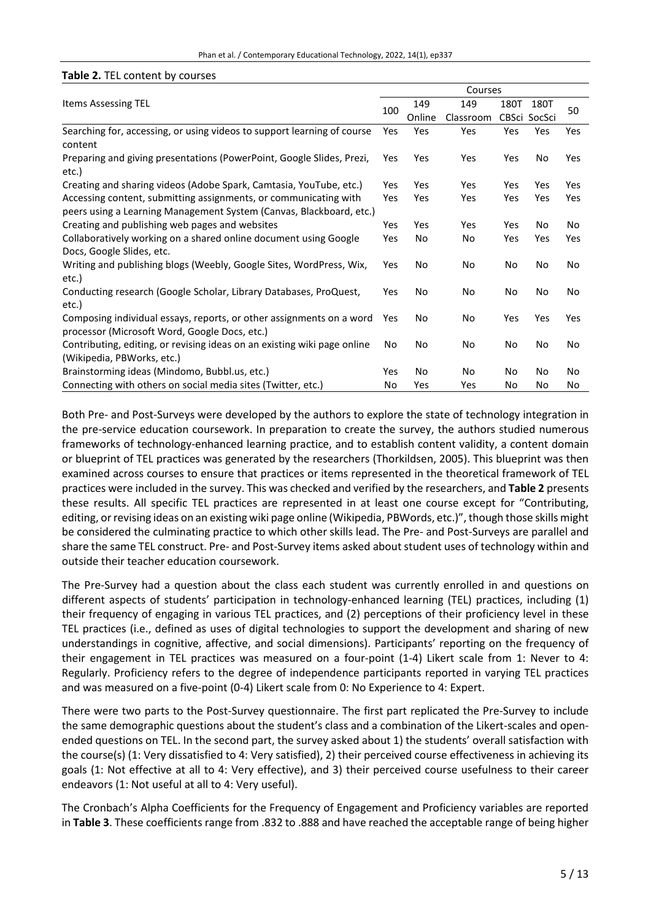#### Phan et al. / Contemporary Educational Technology, 2022, 14(1), ep337

#### **Table 2.** TEL content by courses

|                                                                                | Courses |            |           |      |              |     |  |  |  |  |
|--------------------------------------------------------------------------------|---------|------------|-----------|------|--------------|-----|--|--|--|--|
| Items Assessing TEL<br>100                                                     |         | 149        | 149       | 180T | 180T         |     |  |  |  |  |
|                                                                                |         | Online     | Classroom |      | CBSci SocSci | 50  |  |  |  |  |
| Searching for, accessing, or using videos to support learning of course        | Yes     | Yes        | Yes       | Yes  | Yes          | Yes |  |  |  |  |
| content                                                                        |         |            |           |      |              |     |  |  |  |  |
| Preparing and giving presentations (PowerPoint, Google Slides, Prezi,<br>etc.) | Yes     | Yes        | Yes       | Yes  | No           | Yes |  |  |  |  |
| Creating and sharing videos (Adobe Spark, Camtasia, YouTube, etc.)             | Yes     | Yes        | Yes       | Yes  | Yes          | Yes |  |  |  |  |
| Accessing content, submitting assignments, or communicating with               | Yes     | <b>Yes</b> | Yes       | Yes  | Yes          | Yes |  |  |  |  |
| peers using a Learning Management System (Canvas, Blackboard, etc.)            |         |            |           |      |              |     |  |  |  |  |
| Creating and publishing web pages and websites                                 | Yes     | Yes        | Yes       | Yes  | No           | No  |  |  |  |  |
| Collaboratively working on a shared online document using Google               | Yes     | No         | No        | Yes  | Yes          | Yes |  |  |  |  |
| Docs, Google Slides, etc.                                                      |         |            |           |      |              |     |  |  |  |  |
| Writing and publishing blogs (Weebly, Google Sites, WordPress, Wix,            | Yes     | No         | No        | No   | No           | No  |  |  |  |  |
| etc.)                                                                          |         |            |           |      |              |     |  |  |  |  |
| Conducting research (Google Scholar, Library Databases, ProQuest,              | Yes     | No         | No        | No   | No           | No  |  |  |  |  |
| etc.)                                                                          |         |            |           |      |              |     |  |  |  |  |
| Composing individual essays, reports, or other assignments on a word           | Yes     | No         | No        | Yes  | Yes          | Yes |  |  |  |  |
| processor (Microsoft Word, Google Docs, etc.)                                  |         |            |           |      |              |     |  |  |  |  |
| Contributing, editing, or revising ideas on an existing wiki page online       | No      | No         | No        | No   | No           | No  |  |  |  |  |
| (Wikipedia, PBWorks, etc.)                                                     |         |            |           |      |              |     |  |  |  |  |
| Brainstorming ideas (Mindomo, Bubbl.us, etc.)                                  | Yes     | No         | No        | No   | No           | No  |  |  |  |  |
| Connecting with others on social media sites (Twitter, etc.)                   | No      | Yes        | Yes       | No   | No           | No  |  |  |  |  |

Both Pre- and Post-Surveys were developed by the authors to explore the state of technology integration in the pre-service education coursework. In preparation to create the survey, the authors studied numerous frameworks of technology-enhanced learning practice, and to establish content validity, a content domain or blueprint of TEL practices was generated by the researchers (Thorkildsen, 2005). This blueprint was then examined across courses to ensure that practices or items represented in the theoretical framework of TEL practices were included in the survey. This was checked and verified by the researchers, and **Table 2** presents these results. All specific TEL practices are represented in at least one course except for "Contributing, editing, orrevising ideas on an existing wiki page online (Wikipedia, PBWords, etc.)", though those skills might be considered the culminating practice to which other skills lead. The Pre- and Post-Surveys are parallel and share the same TEL construct. Pre- and Post-Survey items asked about student uses of technology within and outside their teacher education coursework.

The Pre-Survey had a question about the class each student was currently enrolled in and questions on different aspects of students' participation in technology-enhanced learning (TEL) practices, including (1) their frequency of engaging in various TEL practices, and (2) perceptions of their proficiency level in these TEL practices (i.e., defined as uses of digital technologies to support the development and sharing of new understandings in cognitive, affective, and social dimensions). Participants' reporting on the frequency of their engagement in TEL practices was measured on a four-point (1-4) Likert scale from 1: Never to 4: Regularly. Proficiency refers to the degree of independence participants reported in varying TEL practices and was measured on a five-point (0-4) Likert scale from 0: No Experience to 4: Expert.

There were two parts to the Post-Survey questionnaire. The first part replicated the Pre-Survey to include the same demographic questions about the student's class and a combination of the Likert-scales and openended questions on TEL. In the second part, the survey asked about 1) the students' overall satisfaction with the course(s) (1: Very dissatisfied to 4: Very satisfied), 2) their perceived course effectiveness in achieving its goals (1: Not effective at all to 4: Very effective), and 3) their perceived course usefulness to their career endeavors (1: Not useful at all to 4: Very useful).

The Cronbach's Alpha Coefficients for the Frequency of Engagement and Proficiency variables are reported in **Table 3**. These coefficients range from .832 to .888 and have reached the acceptable range of being higher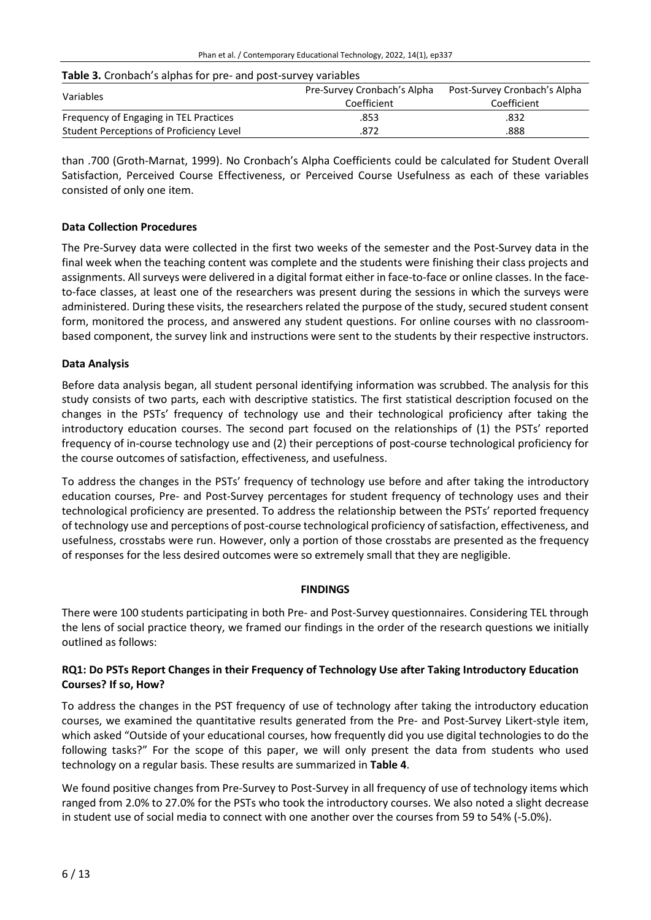#### **Table 3.** Cronbach's alphas for pre- and post-survey variables

| Variables                                | Pre-Survey Cronbach's Alpha | Post-Survey Cronbach's Alpha |
|------------------------------------------|-----------------------------|------------------------------|
|                                          | Coefficient                 | Coefficient                  |
| Frequency of Engaging in TEL Practices   | .853                        | .832                         |
| Student Perceptions of Proficiency Level | 872                         | .888                         |

than .700 (Groth-Marnat, 1999). No Cronbach's Alpha Coefficients could be calculated for Student Overall Satisfaction, Perceived Course Effectiveness, or Perceived Course Usefulness as each of these variables consisted of only one item.

## **Data Collection Procedures**

The Pre-Survey data were collected in the first two weeks of the semester and the Post-Survey data in the final week when the teaching content was complete and the students were finishing their class projects and assignments. All surveys were delivered in a digital format either in face-to-face or online classes. In the faceto-face classes, at least one of the researchers was present during the sessions in which the surveys were administered. During these visits, the researchers related the purpose of the study, secured student consent form, monitored the process, and answered any student questions. For online courses with no classroombased component, the survey link and instructions were sent to the students by their respective instructors.

## **Data Analysis**

Before data analysis began, all student personal identifying information was scrubbed. The analysis for this study consists of two parts, each with descriptive statistics. The first statistical description focused on the changes in the PSTs' frequency of technology use and their technological proficiency after taking the introductory education courses. The second part focused on the relationships of (1) the PSTs' reported frequency of in-course technology use and (2) their perceptions of post-course technological proficiency for the course outcomes of satisfaction, effectiveness, and usefulness.

To address the changes in the PSTs' frequency of technology use before and after taking the introductory education courses, Pre- and Post-Survey percentages for student frequency of technology uses and their technological proficiency are presented. To address the relationship between the PSTs' reported frequency of technology use and perceptions of post-course technological proficiency ofsatisfaction, effectiveness, and usefulness, crosstabs were run. However, only a portion of those crosstabs are presented as the frequency of responses for the less desired outcomes were so extremely small that they are negligible.

#### **FINDINGS**

There were 100 students participating in both Pre- and Post-Survey questionnaires. Considering TEL through the lens of social practice theory, we framed our findings in the order of the research questions we initially outlined as follows:

## **RQ1: Do PSTs Report Changes in their Frequency of Technology Use after Taking Introductory Education Courses? If so, How?**

To address the changes in the PST frequency of use of technology after taking the introductory education courses, we examined the quantitative results generated from the Pre- and Post-Survey Likert-style item, which asked "Outside of your educational courses, how frequently did you use digital technologies to do the following tasks?" For the scope of this paper, we will only present the data from students who used technology on a regular basis. These results are summarized in **Table 4**.

We found positive changes from Pre-Survey to Post-Survey in all frequency of use of technology items which ranged from 2.0% to 27.0% for the PSTs who took the introductory courses. We also noted a slight decrease in student use of social media to connect with one another over the courses from 59 to 54% (-5.0%).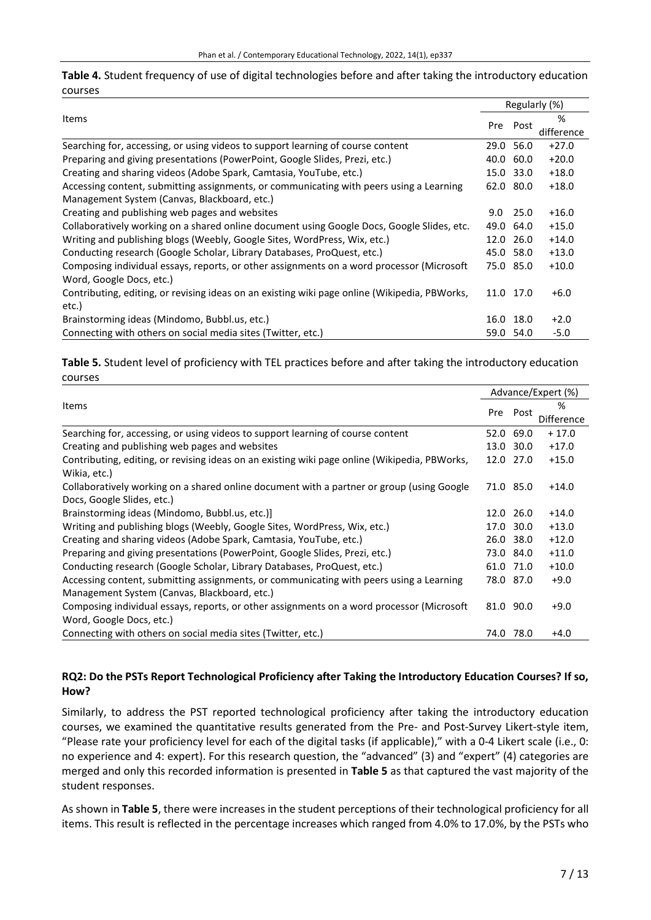**Table 4.** Student frequency of use of digital technologies before and after taking the introductory education courses

|                                                                                               |           |           | Regularly (%) |  |
|-----------------------------------------------------------------------------------------------|-----------|-----------|---------------|--|
| Items                                                                                         |           |           | %             |  |
|                                                                                               |           | Pre Post  | difference    |  |
| Searching for, accessing, or using videos to support learning of course content               | 29.0 56.0 |           | $+27.0$       |  |
| Preparing and giving presentations (PowerPoint, Google Slides, Prezi, etc.)                   | 40.0      | 60.0      | $+20.0$       |  |
| Creating and sharing videos (Adobe Spark, Camtasia, YouTube, etc.)                            | 15.0      | 33.0      | $+18.0$       |  |
| Accessing content, submitting assignments, or communicating with peers using a Learning       | 62.0 80.0 |           | $+18.0$       |  |
| Management System (Canvas, Blackboard, etc.)                                                  |           |           |               |  |
| Creating and publishing web pages and websites                                                | 9.0       | 25.0      | $+16.0$       |  |
| Collaboratively working on a shared online document using Google Docs, Google Slides, etc.    | 49.0 64.0 |           | $+15.0$       |  |
| Writing and publishing blogs (Weebly, Google Sites, WordPress, Wix, etc.)                     | 12.0      | 26.0      | $+14.0$       |  |
| Conducting research (Google Scholar, Library Databases, ProQuest, etc.)                       | 45.0 58.0 |           | $+13.0$       |  |
| Composing individual essays, reports, or other assignments on a word processor (Microsoft     |           | 75.0 85.0 | $+10.0$       |  |
| Word, Google Docs, etc.)                                                                      |           |           |               |  |
| Contributing, editing, or revising ideas on an existing wiki page online (Wikipedia, PBWorks, | 11.0 17.0 |           | $+6.0$        |  |
| etc.)                                                                                         |           |           |               |  |
| Brainstorming ideas (Mindomo, Bubbl.us, etc.)                                                 |           | 16.0 18.0 | $+2.0$        |  |
| Connecting with others on social media sites (Twitter, etc.)                                  | 59.0      | 54.0      | $-5.0$        |  |

**Table 5.** Student level of proficiency with TEL practices before and after taking the introductory education courses

|                                                                                               |      |           | Advance/Expert (%) |  |
|-----------------------------------------------------------------------------------------------|------|-----------|--------------------|--|
| <b>Items</b>                                                                                  |      | Pre Post  | %                  |  |
|                                                                                               |      |           | Difference         |  |
| Searching for, accessing, or using videos to support learning of course content               |      | 52.0 69.0 | $+17.0$            |  |
| Creating and publishing web pages and websites                                                | 13.0 | 30.0      | $+17.0$            |  |
| Contributing, editing, or revising ideas on an existing wiki page online (Wikipedia, PBWorks, |      | 12.0 27.0 | $+15.0$            |  |
| Wikia, etc.)                                                                                  |      |           |                    |  |
| Collaboratively working on a shared online document with a partner or group (using Google     |      | 71.0 85.0 | $+14.0$            |  |
| Docs, Google Slides, etc.)                                                                    |      |           |                    |  |
| Brainstorming ideas (Mindomo, Bubbl.us, etc.)]                                                |      | 12.0 26.0 | $+14.0$            |  |
| Writing and publishing blogs (Weebly, Google Sites, WordPress, Wix, etc.)                     | 17.0 | 30.0      | $+13.0$            |  |
| Creating and sharing videos (Adobe Spark, Camtasia, YouTube, etc.)                            |      | 26.0 38.0 | $+12.0$            |  |
| Preparing and giving presentations (PowerPoint, Google Slides, Prezi, etc.)                   |      | 73.0 84.0 | $+11.0$            |  |
| Conducting research (Google Scholar, Library Databases, ProQuest, etc.)                       |      | 61.0 71.0 | $+10.0$            |  |
| Accessing content, submitting assignments, or communicating with peers using a Learning       |      | 78.0 87.0 | $+9.0$             |  |
| Management System (Canvas, Blackboard, etc.)                                                  |      |           |                    |  |
| Composing individual essays, reports, or other assignments on a word processor (Microsoft     |      | 81.0 90.0 | $+9.0$             |  |
| Word, Google Docs, etc.)                                                                      |      |           |                    |  |
| Connecting with others on social media sites (Twitter, etc.)                                  |      | 74.0 78.0 | $+4.0$             |  |

## **RQ2: Do the PSTs Report Technological Proficiency after Taking the Introductory Education Courses? If so, How?**

Similarly, to address the PST reported technological proficiency after taking the introductory education courses, we examined the quantitative results generated from the Pre- and Post-Survey Likert-style item, "Please rate your proficiency level for each of the digital tasks (if applicable)," with a 0-4 Likert scale (i.e., 0: no experience and 4: expert). For this research question, the "advanced" (3) and "expert" (4) categories are merged and only this recorded information is presented in **Table 5** as that captured the vast majority of the student responses.

As shown in **Table 5**, there were increases in the student perceptions of their technological proficiency for all items. This result is reflected in the percentage increases which ranged from 4.0% to 17.0%, by the PSTs who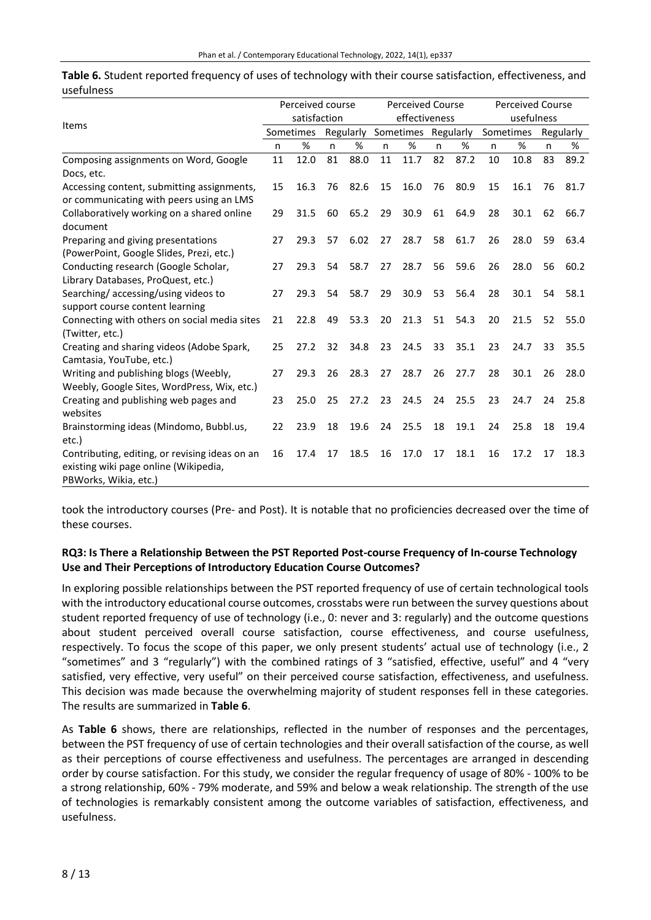| uselulliess                                                                             |              |                  |    |                         |    |      |                         |            |           |      |           |      |
|-----------------------------------------------------------------------------------------|--------------|------------------|----|-------------------------|----|------|-------------------------|------------|-----------|------|-----------|------|
|                                                                                         |              | Perceived course |    | <b>Perceived Course</b> |    |      | <b>Perceived Course</b> |            |           |      |           |      |
| Items                                                                                   | satisfaction |                  |    | effectiveness           |    |      |                         | usefulness |           |      |           |      |
|                                                                                         | Sometimes    |                  |    | Regularly               |    |      | Sometimes Regularly     |            | Sometimes |      | Regularly |      |
|                                                                                         | n            | $\%$             | n  | $\%$                    | n  | $\%$ | n                       | %          | n.        | $\%$ | n         | %    |
| Composing assignments on Word, Google                                                   | 11           | 12.0             | 81 | 88.0                    | 11 | 11.7 | 82                      | 87.2       | 10        | 10.8 | 83        | 89.2 |
| Docs, etc.                                                                              |              |                  |    |                         |    |      |                         |            |           |      |           |      |
| Accessing content, submitting assignments,<br>or communicating with peers using an LMS  | 15           | 16.3             | 76 | 82.6                    | 15 | 16.0 | 76                      | 80.9       | 15        | 16.1 | 76        | 81.7 |
| Collaboratively working on a shared online<br>document                                  | 29           | 31.5             | 60 | 65.2                    | 29 | 30.9 | 61                      | 64.9       | 28        | 30.1 | 62        | 66.7 |
| Preparing and giving presentations<br>(PowerPoint, Google Slides, Prezi, etc.)          | 27           | 29.3             | 57 | 6.02                    | 27 | 28.7 | 58                      | 61.7       | 26        | 28.0 | 59        | 63.4 |
| Conducting research (Google Scholar,<br>Library Databases, ProQuest, etc.)              | 27           | 29.3             | 54 | 58.7                    | 27 | 28.7 | 56                      | 59.6       | 26        | 28.0 | 56        | 60.2 |
| Searching/accessing/using videos to<br>support course content learning                  | 27           | 29.3             | 54 | 58.7                    | 29 | 30.9 | 53                      | 56.4       | 28        | 30.1 | 54        | 58.1 |
| Connecting with others on social media sites<br>(Twitter, etc.)                         | 21           | 22.8             | 49 | 53.3                    | 20 | 21.3 | 51                      | 54.3       | 20        | 21.5 | 52        | 55.0 |
| Creating and sharing videos (Adobe Spark,<br>Camtasia, YouTube, etc.)                   | 25           | 27.2             | 32 | 34.8                    | 23 | 24.5 | 33                      | 35.1       | 23        | 24.7 | 33        | 35.5 |
| Writing and publishing blogs (Weebly,<br>Weebly, Google Sites, WordPress, Wix, etc.)    | 27           | 29.3             | 26 | 28.3                    | 27 | 28.7 | 26                      | 27.7       | 28        | 30.1 | 26        | 28.0 |
| Creating and publishing web pages and<br>websites                                       | 23           | 25.0             | 25 | 27.2                    | 23 | 24.5 | 24                      | 25.5       | 23        | 24.7 | 24        | 25.8 |
| Brainstorming ideas (Mindomo, Bubbl.us,<br>etc.)                                        | 22           | 23.9             | 18 | 19.6                    | 24 | 25.5 | 18                      | 19.1       | 24        | 25.8 | 18        | 19.4 |
| Contributing, editing, or revising ideas on an<br>existing wiki page online (Wikipedia, | 16           | 17.4             | 17 | 18.5                    | 16 | 17.0 | 17                      | 18.1       | 16        | 17.2 | 17        | 18.3 |

**Table 6.** Student reported frequency of uses of technology with their course satisfaction, effectiveness, and usefulness

took the introductory courses (Pre- and Post). It is notable that no proficiencies decreased over the time of these courses.

# **RQ3: Is There a Relationship Between the PST Reported Post-course Frequency of In-course Technology Use and Their Perceptions of Introductory Education Course Outcomes?**

In exploring possible relationships between the PST reported frequency of use of certain technological tools with the introductory educational course outcomes, crosstabs were run between the survey questions about student reported frequency of use of technology (i.e., 0: never and 3: regularly) and the outcome questions about student perceived overall course satisfaction, course effectiveness, and course usefulness, respectively. To focus the scope of this paper, we only present students' actual use of technology (i.e., 2 "sometimes" and 3 "regularly") with the combined ratings of 3 "satisfied, effective, useful" and 4 "very satisfied, very effective, very useful" on their perceived course satisfaction, effectiveness, and usefulness. This decision was made because the overwhelming majority of student responses fell in these categories. The results are summarized in **Table 6**.

As **Table 6** shows, there are relationships, reflected in the number of responses and the percentages, between the PST frequency of use of certain technologies and their overall satisfaction of the course, as well as their perceptions of course effectiveness and usefulness. The percentages are arranged in descending order by course satisfaction. For this study, we consider the regular frequency of usage of 80% - 100% to be a strong relationship, 60% - 79% moderate, and 59% and below a weak relationship. The strength of the use of technologies is remarkably consistent among the outcome variables of satisfaction, effectiveness, and usefulness.

PBWorks, Wikia, etc.)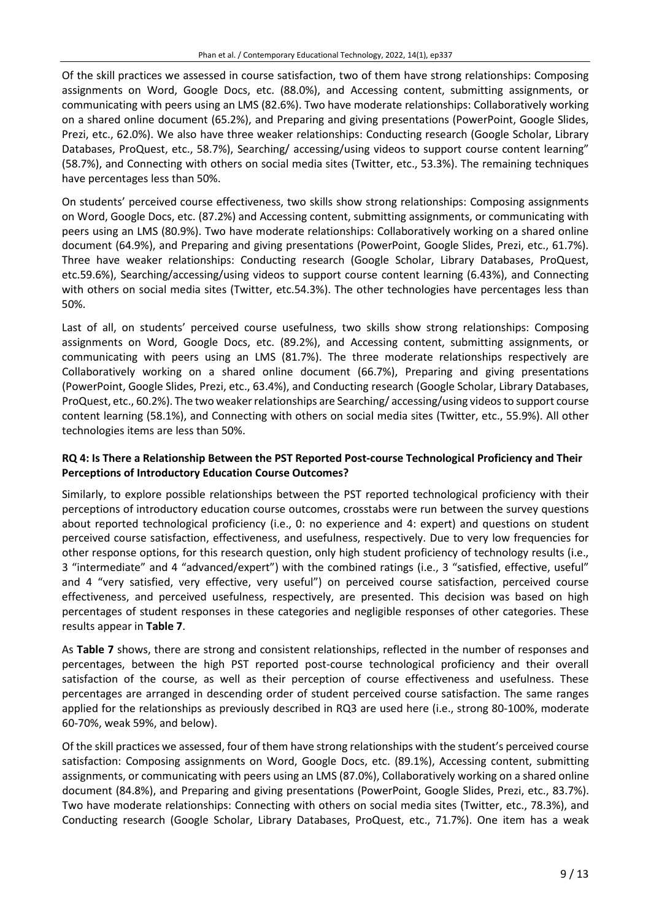Of the skill practices we assessed in course satisfaction, two of them have strong relationships: Composing assignments on Word, Google Docs, etc. (88.0%), and Accessing content, submitting assignments, or communicating with peers using an LMS (82.6%). Two have moderate relationships: Collaboratively working on a shared online document (65.2%), and Preparing and giving presentations (PowerPoint, Google Slides, Prezi, etc., 62.0%). We also have three weaker relationships: Conducting research (Google Scholar, Library Databases, ProQuest, etc., 58.7%), Searching/ accessing/using videos to support course content learning" (58.7%), and Connecting with others on social media sites (Twitter, etc., 53.3%). The remaining techniques have percentages less than 50%.

On students' perceived course effectiveness, two skills show strong relationships: Composing assignments on Word, Google Docs, etc. (87.2%) and Accessing content, submitting assignments, or communicating with peers using an LMS (80.9%). Two have moderate relationships: Collaboratively working on a shared online document (64.9%), and Preparing and giving presentations (PowerPoint, Google Slides, Prezi, etc., 61.7%). Three have weaker relationships: Conducting research (Google Scholar, Library Databases, ProQuest, etc.59.6%), Searching/accessing/using videos to support course content learning (6.43%), and Connecting with others on social media sites (Twitter, etc.54.3%). The other technologies have percentages less than 50%.

Last of all, on students' perceived course usefulness, two skills show strong relationships: Composing assignments on Word, Google Docs, etc. (89.2%), and Accessing content, submitting assignments, or communicating with peers using an LMS (81.7%). The three moderate relationships respectively are Collaboratively working on a shared online document (66.7%), Preparing and giving presentations (PowerPoint, Google Slides, Prezi, etc., 63.4%), and Conducting research (Google Scholar, Library Databases, ProQuest, etc., 60.2%). The two weaker relationships are Searching/accessing/using videos to support course content learning (58.1%), and Connecting with others on social media sites (Twitter, etc., 55.9%). All other technologies items are less than 50%.

# **RQ 4: Is There a Relationship Between the PST Reported Post-course Technological Proficiency and Their Perceptions of Introductory Education Course Outcomes?**

Similarly, to explore possible relationships between the PST reported technological proficiency with their perceptions of introductory education course outcomes, crosstabs were run between the survey questions about reported technological proficiency (i.e., 0: no experience and 4: expert) and questions on student perceived course satisfaction, effectiveness, and usefulness, respectively. Due to very low frequencies for other response options, for this research question, only high student proficiency of technology results (i.e., 3 "intermediate" and 4 "advanced/expert") with the combined ratings (i.e., 3 "satisfied, effective, useful" and 4 "very satisfied, very effective, very useful") on perceived course satisfaction, perceived course effectiveness, and perceived usefulness, respectively, are presented. This decision was based on high percentages of student responses in these categories and negligible responses of other categories. These results appear in **Table 7**.

As **Table 7** shows, there are strong and consistent relationships, reflected in the number of responses and percentages, between the high PST reported post-course technological proficiency and their overall satisfaction of the course, as well as their perception of course effectiveness and usefulness. These percentages are arranged in descending order of student perceived course satisfaction. The same ranges applied for the relationships as previously described in RQ3 are used here (i.e., strong 80-100%, moderate 60-70%, weak 59%, and below).

Of the skill practices we assessed, four of them have strong relationships with the student's perceived course satisfaction: Composing assignments on Word, Google Docs, etc. (89.1%), Accessing content, submitting assignments, or communicating with peers using an LMS (87.0%), Collaboratively working on a shared online document (84.8%), and Preparing and giving presentations (PowerPoint, Google Slides, Prezi, etc., 83.7%). Two have moderate relationships: Connecting with others on social media sites (Twitter, etc., 78.3%), and Conducting research (Google Scholar, Library Databases, ProQuest, etc., 71.7%). One item has a weak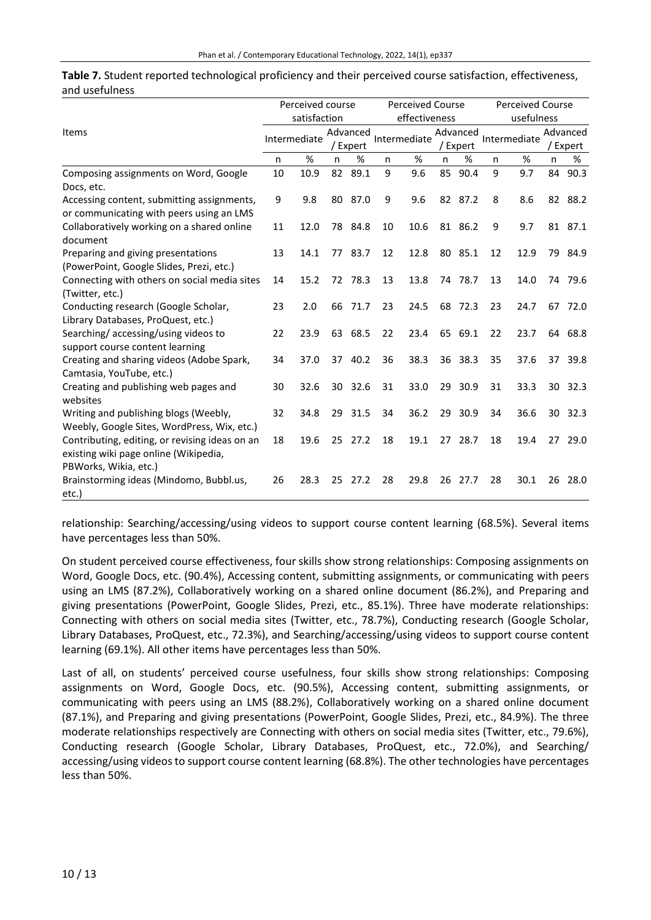|                                                |    | Perceived course | <b>Perceived Course</b> |               |    |              | <b>Perceived Course</b> |            |    |              |          |         |
|------------------------------------------------|----|------------------|-------------------------|---------------|----|--------------|-------------------------|------------|----|--------------|----------|---------|
|                                                |    | satisfaction     |                         | effectiveness |    |              |                         | usefulness |    |              |          |         |
| Items                                          |    |                  | Advanced                |               |    |              | Advanced                |            |    |              | Advanced |         |
|                                                |    | Intermediate     | / Expert                |               |    | Intermediate |                         | / Expert   |    | Intermediate | / Expert |         |
|                                                | n  | %                | n                       | %             | n  | $\%$         | n                       | %          | n  | $\%$         | n        | %       |
| Composing assignments on Word, Google          | 10 | 10.9             | 82                      | 89.1          | 9  | 9.6          | 85                      | 90.4       | 9  | 9.7          | 84       | 90.3    |
| Docs, etc.                                     |    |                  |                         |               |    |              |                         |            |    |              |          |         |
| Accessing content, submitting assignments,     | 9  | 9.8              |                         | 80 87.0       | 9  | 9.6          |                         | 82 87.2    | 8  | 8.6          |          | 82 88.2 |
| or communicating with peers using an LMS       |    |                  |                         |               |    |              |                         |            |    |              |          |         |
| Collaboratively working on a shared online     | 11 | 12.0             |                         | 78 84.8       | 10 | 10.6         |                         | 81 86.2    | 9  | 9.7          |          | 81 87.1 |
| document                                       |    |                  |                         |               |    |              |                         |            |    |              |          |         |
| Preparing and giving presentations             | 13 | 14.1             |                         | 77 83.7       | 12 | 12.8         |                         | 80 85.1    | 12 | 12.9         |          | 79 84.9 |
| (PowerPoint, Google Slides, Prezi, etc.)       |    |                  |                         |               |    |              |                         |            |    |              |          |         |
| Connecting with others on social media sites   | 14 | 15.2             |                         | 72 78.3       | 13 | 13.8         |                         | 74 78.7    | 13 | 14.0         |          | 74 79.6 |
| (Twitter, etc.)                                |    |                  |                         |               |    |              |                         |            |    |              |          |         |
| Conducting research (Google Scholar,           | 23 | 2.0              | 66                      | 71.7          | 23 | 24.5         |                         | 68 72.3    | 23 | 24.7         |          | 67 72.0 |
| Library Databases, ProQuest, etc.)             |    |                  |                         |               |    |              |                         |            |    |              |          |         |
| Searching/accessing/using videos to            | 22 | 23.9             | 63                      | 68.5          | 22 | 23.4         |                         | 65 69.1    | 22 | 23.7         | 64       | 68.8    |
| support course content learning                |    |                  |                         |               |    |              |                         |            |    |              |          |         |
| Creating and sharing videos (Adobe Spark,      | 34 | 37.0             | 37                      | 40.2          | 36 | 38.3         |                         | 36 38.3    | 35 | 37.6         |          | 37 39.8 |
| Camtasia, YouTube, etc.)                       |    |                  |                         |               |    |              |                         |            |    |              |          |         |
| Creating and publishing web pages and          | 30 | 32.6             | 30                      | 32.6          | 31 | 33.0         | 29                      | 30.9       | 31 | 33.3         | 30       | 32.3    |
| websites                                       |    |                  |                         |               |    |              |                         |            |    |              |          |         |
| Writing and publishing blogs (Weebly,          | 32 | 34.8             | 29                      | 31.5          | 34 | 36.2         | 29                      | 30.9       | 34 | 36.6         | 30       | 32.3    |
| Weebly, Google Sites, WordPress, Wix, etc.)    |    |                  |                         |               |    |              |                         |            |    |              |          |         |
| Contributing, editing, or revising ideas on an | 18 | 19.6             | 25                      | 27.2          | 18 | 19.1         | 27                      | 28.7       | 18 | 19.4         | 27       | 29.0    |
| existing wiki page online (Wikipedia,          |    |                  |                         |               |    |              |                         |            |    |              |          |         |
| PBWorks, Wikia, etc.)                          |    |                  |                         |               |    |              |                         |            |    |              |          |         |
| Brainstorming ideas (Mindomo, Bubbl.us,        | 26 | 28.3             | 25                      | 27.2          | 28 | 29.8         | 26                      | 27.7       | 28 | 30.1         | 26       | 28.0    |
| etc.)                                          |    |                  |                         |               |    |              |                         |            |    |              |          |         |

| Table 7. Student reported technological proficiency and their perceived course satisfaction, effectiveness, |  |  |
|-------------------------------------------------------------------------------------------------------------|--|--|
| and usefulness                                                                                              |  |  |

relationship: Searching/accessing/using videos to support course content learning (68.5%). Several items have percentages less than 50%.

On student perceived course effectiveness, four skills show strong relationships: Composing assignments on Word, Google Docs, etc. (90.4%), Accessing content, submitting assignments, or communicating with peers using an LMS (87.2%), Collaboratively working on a shared online document (86.2%), and Preparing and giving presentations (PowerPoint, Google Slides, Prezi, etc., 85.1%). Three have moderate relationships: Connecting with others on social media sites (Twitter, etc., 78.7%), Conducting research (Google Scholar, Library Databases, ProQuest, etc., 72.3%), and Searching/accessing/using videos to support course content learning (69.1%). All other items have percentages less than 50%.

Last of all, on students' perceived course usefulness, four skills show strong relationships: Composing assignments on Word, Google Docs, etc. (90.5%), Accessing content, submitting assignments, or communicating with peers using an LMS (88.2%), Collaboratively working on a shared online document (87.1%), and Preparing and giving presentations (PowerPoint, Google Slides, Prezi, etc., 84.9%). The three moderate relationships respectively are Connecting with others on social media sites (Twitter, etc., 79.6%), Conducting research (Google Scholar, Library Databases, ProQuest, etc., 72.0%), and Searching/ accessing/using videos to support course content learning (68.8%). The other technologies have percentages less than 50%.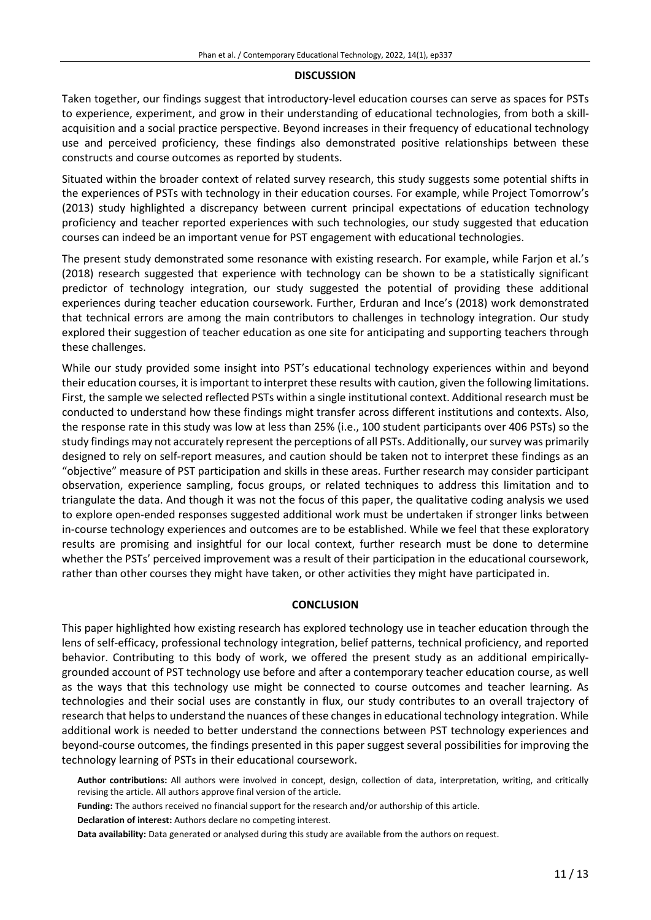#### **DISCUSSION**

Taken together, our findings suggest that introductory-level education courses can serve as spaces for PSTs to experience, experiment, and grow in their understanding of educational technologies, from both a skillacquisition and a social practice perspective. Beyond increases in their frequency of educational technology use and perceived proficiency, these findings also demonstrated positive relationships between these constructs and course outcomes as reported by students.

Situated within the broader context of related survey research, this study suggests some potential shifts in the experiences of PSTs with technology in their education courses. For example, while Project Tomorrow's (2013) study highlighted a discrepancy between current principal expectations of education technology proficiency and teacher reported experiences with such technologies, our study suggested that education courses can indeed be an important venue for PST engagement with educational technologies.

The present study demonstrated some resonance with existing research. For example, while Farjon et al.'s (2018) research suggested that experience with technology can be shown to be a statistically significant predictor of technology integration, our study suggested the potential of providing these additional experiences during teacher education coursework. Further, Erduran and Ince's (2018) work demonstrated that technical errors are among the main contributors to challenges in technology integration. Our study explored their suggestion of teacher education as one site for anticipating and supporting teachers through these challenges.

While our study provided some insight into PST's educational technology experiences within and beyond their education courses, it isimportant to interpret these results with caution, given the following limitations. First, the sample we selected reflected PSTs within a single institutional context. Additional research must be conducted to understand how these findings might transfer across different institutions and contexts. Also, the response rate in this study was low at less than 25% (i.e., 100 student participants over 406 PSTs) so the study findings may not accurately represent the perceptions of all PSTs. Additionally, oursurvey was primarily designed to rely on self-report measures, and caution should be taken not to interpret these findings as an "objective" measure of PST participation and skills in these areas. Further research may consider participant observation, experience sampling, focus groups, or related techniques to address this limitation and to triangulate the data. And though it was not the focus of this paper, the qualitative coding analysis we used to explore open-ended responses suggested additional work must be undertaken if stronger links between in-course technology experiences and outcomes are to be established. While we feel that these exploratory results are promising and insightful for our local context, further research must be done to determine whether the PSTs' perceived improvement was a result of their participation in the educational coursework, rather than other courses they might have taken, or other activities they might have participated in.

#### **CONCLUSION**

This paper highlighted how existing research has explored technology use in teacher education through the lens of self-efficacy, professional technology integration, belief patterns, technical proficiency, and reported behavior. Contributing to this body of work, we offered the present study as an additional empiricallygrounded account of PST technology use before and after a contemporary teacher education course, as well as the ways that this technology use might be connected to course outcomes and teacher learning. As technologies and their social uses are constantly in flux, our study contributes to an overall trajectory of research that helps to understand the nuances of these changes in educational technology integration. While additional work is needed to better understand the connections between PST technology experiences and beyond-course outcomes, the findings presented in this paper suggest several possibilities for improving the technology learning of PSTs in their educational coursework.

**Author contributions:** All authors were involved in concept, design, collection of data, interpretation, writing, and critically revising the article. All authors approve final version of the article.

**Funding:** The authors received no financial support for the research and/or authorship of this article.

**Declaration of interest:** Authors declare no competing interest.

**Data availability:** Data generated or analysed during this study are available from the authors on request.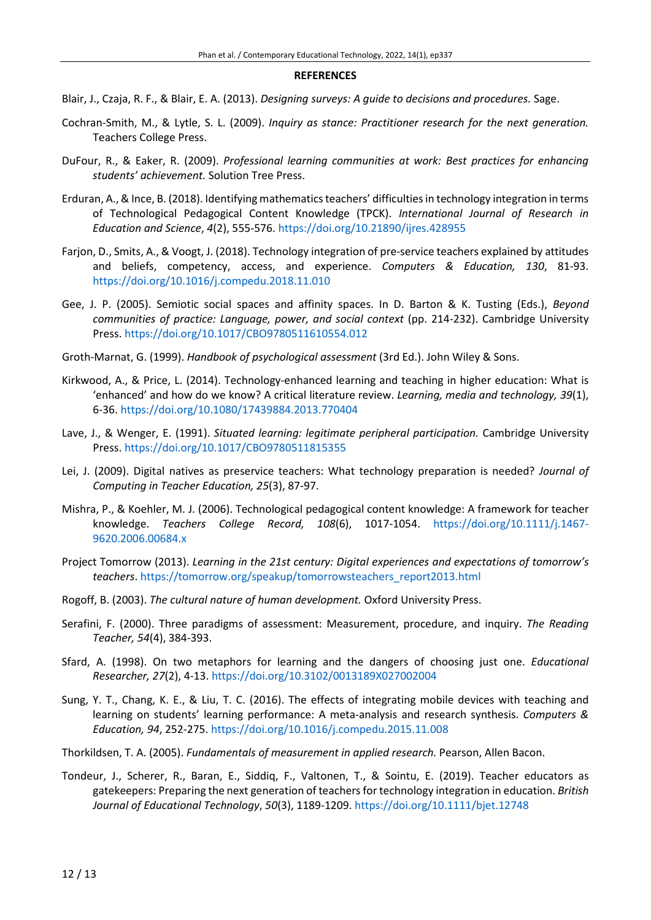#### **REFERENCES**

- Blair, J., Czaja, R. F., & Blair, E. A. (2013). *Designing surveys: A guide to decisions and procedures.* Sage.
- Cochran-Smith, M., & Lytle, S. L. (2009). *Inquiry as stance: Practitioner research for the next generation.* Teachers College Press.
- DuFour, R., & Eaker, R. (2009). *Professional learning communities at work: Best practices for enhancing students' achievement.* Solution Tree Press.
- Erduran, A., & Ince, B. (2018). Identifying mathematicsteachers' difficultiesin technology integration in terms of Technological Pedagogical Content Knowledge (TPCK). *International Journal of Research in Education and Science*, *4*(2), 555-576. <https://doi.org/10.21890/ijres.428955>
- Farjon, D., Smits, A., & Voogt, J. (2018). Technology integration of pre-service teachers explained by attitudes and beliefs, competency, access, and experience. *Computers & Education, 130*, 81-93. <https://doi.org/10.1016/j.compedu.2018.11.010>
- Gee, J. P. (2005). Semiotic social spaces and affinity spaces. In D. Barton & K. Tusting (Eds.), *Beyond communities of practice: Language, power, and social context* (pp. 214-232). Cambridge University Press. <https://doi.org/10.1017/CBO9780511610554.012>
- Groth-Marnat, G. (1999). *Handbook of psychological assessment* (3rd Ed.). John Wiley & Sons.
- Kirkwood, A., & Price, L. (2014). Technology-enhanced learning and teaching in higher education: What is 'enhanced' and how do we know? A critical literature review. *Learning, media and technology, 39*(1), 6-36. <https://doi.org/10.1080/17439884.2013.770404>
- Lave, J., & Wenger, E. (1991). *Situated learning: legitimate peripheral participation.* Cambridge University Press. <https://doi.org/10.1017/CBO9780511815355>
- Lei, J. (2009). Digital natives as preservice teachers: What technology preparation is needed? *Journal of Computing in Teacher Education, 25*(3), 87-97.
- Mishra, P., & Koehler, M. J. (2006). Technological pedagogical content knowledge: A framework for teacher knowledge. *Teachers College Record, 108*(6), 1017-1054. [https://doi.org/10.1111/j.1467-](https://doi.org/10.1111/j.1467-9620.2006.00684.x) [9620.2006.00684.x](https://doi.org/10.1111/j.1467-9620.2006.00684.x)
- Project Tomorrow (2013). *Learning in the 21st century: Digital experiences and expectations of tomorrow's teachers*. [https://tomorrow.org/speakup/tomorrowsteachers\\_report2013.html](https://tomorrow.org/speakup/tomorrowsteachers_report2013.html)
- Rogoff, B. (2003). *The cultural nature of human development.* Oxford University Press.
- Serafini, F. (2000). Three paradigms of assessment: Measurement, procedure, and inquiry. *The Reading Teacher, 54*(4), 384-393.
- Sfard, A. (1998). On two metaphors for learning and the dangers of choosing just one. *Educational Researcher, 27*(2), 4-13. <https://doi.org/10.3102/0013189X027002004>
- Sung, Y. T., Chang, K. E., & Liu, T. C. (2016). The effects of integrating mobile devices with teaching and learning on students' learning performance: A meta-analysis and research synthesis. *Computers & Education, 94*, 252-275. <https://doi.org/10.1016/j.compedu.2015.11.008>
- Thorkildsen, T. A. (2005). *Fundamentals of measurement in applied research.* Pearson, Allen Bacon.
- Tondeur, J., Scherer, R., Baran, E., Siddiq, F., Valtonen, T., & Sointu, E. (2019). Teacher educators as gatekeepers: Preparing the next generation of teachers for technology integration in education. *British Journal of Educational Technology*, *50*(3), 1189-1209. <https://doi.org/10.1111/bjet.12748>